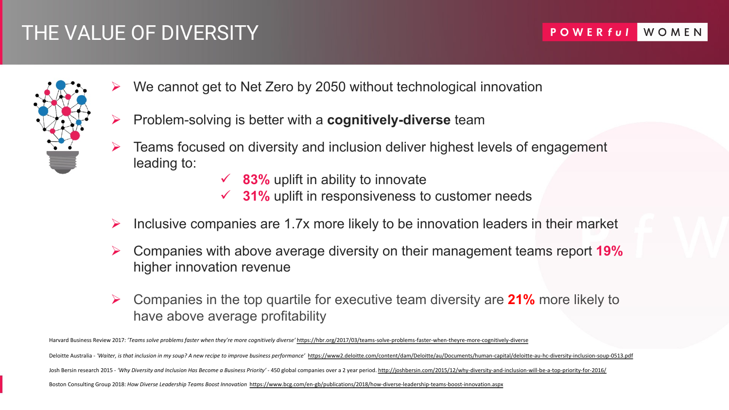## THE VALUE OF DIVERSITY



- We cannot get to Net Zero by 2050 without technologic
- Problem-solving is better with a **cognitively-diverse** te
- Teams focused on diversity and inclusion deliver highest leading to:
	- $\checkmark$  83% uplift in ability to innovate
	- $\checkmark$  31% uplift in responsiveness to custom
- Inclusive companies are 1.7x more likely to be innovation
- Companies with above average diversity on their mana higher innovation revenue
- Companies in the top quartile for executive team divers have above average profitability

Boston Consulting Group 2018: *How Diverse Leadership Teams Boost Innovation* https://www.bcg.com/en-gb/publications/2018/how-diverse-leadership-teams-boost-i Harvard Business Review 2017: 'Teams solve problems faster when they're more cognitively diverse' https://hbr.org/2017/03/teams-solve-problems-faster-when-theyre Deloitte Australia - 'Waiter, is that inclusion in my soup? A new recipe to improve business performance' https://www2.deloitte.com/content/dam/Deloitte/au/Docume Josh Bersin research 2015 - 'Why Diversity and Inclusion Has Become a Business Priority' - 450 global companies over a 2 year period. http://joshbersin.com/2015/12/wl